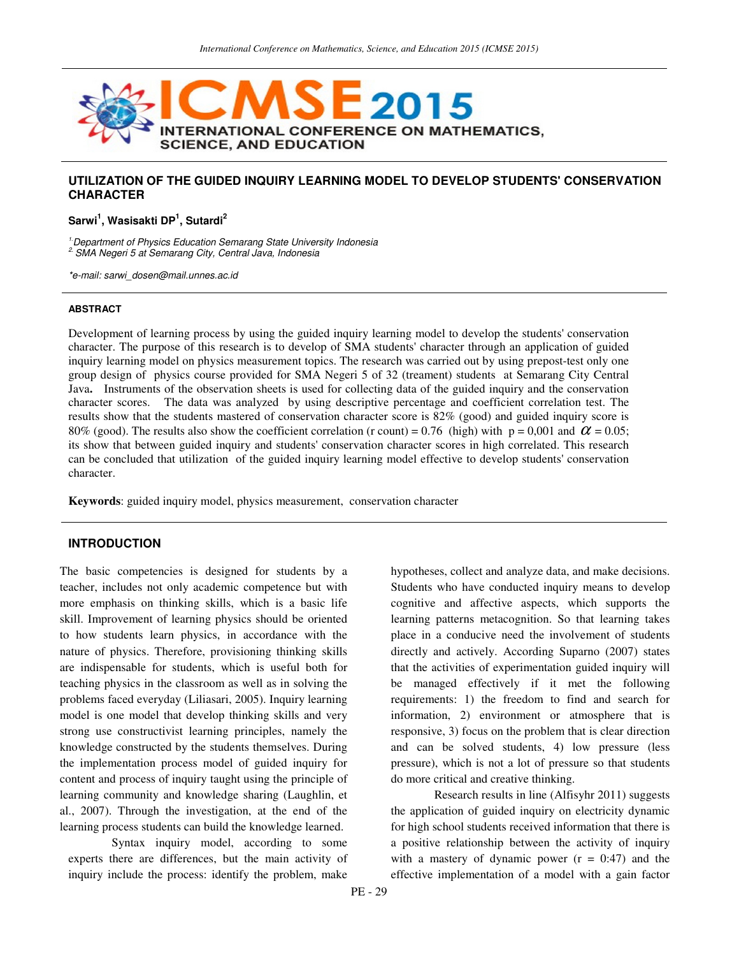

# **UTILIZATION OF THE GUIDED INQUIRY LEARNING MODEL TO DEVELOP STUDENTS' CONSERVATION CHARACTER**

## **Sarwi<sup>1</sup> , Wasisakti DP<sup>1</sup> , Sutardi<sup>2</sup>**

<sup>1.</sup> Department of Physics Education Semarang State University Indonesia 2. SMA Negeri 5 at Semarang City, Central Java, Indonesia

\*e-mail: sarwi\_dosen@mail.unnes.ac.id

#### **ABSTRACT**

Development of learning process by using the guided inquiry learning model to develop the students' conservation character. The purpose of this research is to develop of SMA students' character through an application of guided inquiry learning model on physics measurement topics. The research was carried out by using prepost-test only one group design of physics course provided for SMA Negeri 5 of 32 (treament) students at Semarang City Central Java**.** Instruments of the observation sheets is used for collecting data of the guided inquiry and the conservation character scores. The data was analyzed by using descriptive percentage and coefficient correlation test. The results show that the students mastered of conservation character score is 82% (good) and guided inquiry score is 80% (good). The results also show the coefficient correlation (r count) = 0.76 (high) with  $p = 0.001$  and  $\alpha = 0.05$ ; its show that between guided inquiry and students' conservation character scores in high correlated. This research can be concluded that utilization of the guided inquiry learning model effective to develop students' conservation character.

**Keywords**: guided inquiry model, physics measurement, conservation character

#### **INTRODUCTION**

The basic competencies is designed for students by a teacher, includes not only academic competence but with more emphasis on thinking skills, which is a basic life skill. Improvement of learning physics should be oriented to how students learn physics, in accordance with the nature of physics. Therefore, provisioning thinking skills are indispensable for students, which is useful both for teaching physics in the classroom as well as in solving the problems faced everyday (Liliasari, 2005). Inquiry learning model is one model that develop thinking skills and very strong use constructivist learning principles, namely the knowledge constructed by the students themselves. During the implementation process model of guided inquiry for content and process of inquiry taught using the principle of learning community and knowledge sharing (Laughlin, et al., 2007). Through the investigation, at the end of the learning process students can build the knowledge learned.

Syntax inquiry model, according to some experts there are differences, but the main activity of inquiry include the process: identify the problem, make

hypotheses, collect and analyze data, and make decisions. Students who have conducted inquiry means to develop cognitive and affective aspects, which supports the learning patterns metacognition. So that learning takes place in a conducive need the involvement of students directly and actively. According Suparno (2007) states that the activities of experimentation guided inquiry will be managed effectively if it met the following requirements: 1) the freedom to find and search for information, 2) environment or atmosphere that is responsive, 3) focus on the problem that is clear direction and can be solved students, 4) low pressure (less pressure), which is not a lot of pressure so that students do more critical and creative thinking.

Research results in line (Alfisyhr 2011) suggests the application of guided inquiry on electricity dynamic for high school students received information that there is a positive relationship between the activity of inquiry with a mastery of dynamic power  $(r = 0.47)$  and the effective implementation of a model with a gain factor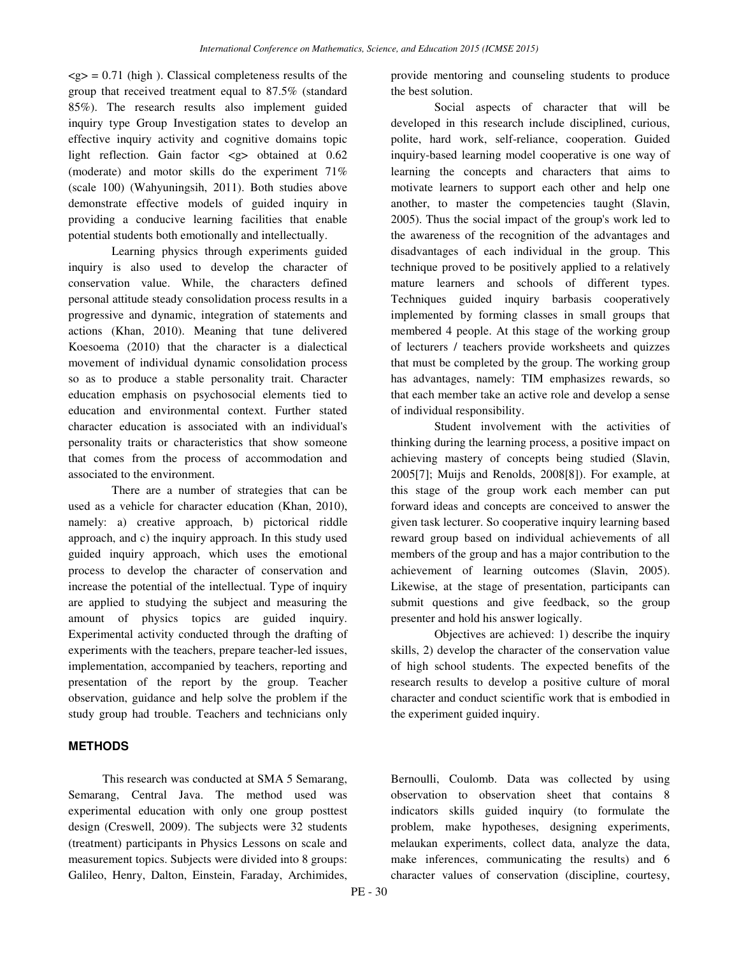$\langle g \rangle = 0.71$  (high). Classical completeness results of the group that received treatment equal to 87.5% (standard 85%). The research results also implement guided inquiry type Group Investigation states to develop an effective inquiry activity and cognitive domains topic light reflection. Gain factor <g> obtained at 0.62 (moderate) and motor skills do the experiment 71% (scale 100) (Wahyuningsih, 2011). Both studies above demonstrate effective models of guided inquiry in providing a conducive learning facilities that enable potential students both emotionally and intellectually.

Learning physics through experiments guided inquiry is also used to develop the character of conservation value. While, the characters defined personal attitude steady consolidation process results in a progressive and dynamic, integration of statements and actions (Khan, 2010). Meaning that tune delivered Koesoema (2010) that the character is a dialectical movement of individual dynamic consolidation process so as to produce a stable personality trait. Character education emphasis on psychosocial elements tied to education and environmental context. Further stated character education is associated with an individual's personality traits or characteristics that show someone that comes from the process of accommodation and associated to the environment.

There are a number of strategies that can be used as a vehicle for character education (Khan, 2010), namely: a) creative approach, b) pictorical riddle approach, and c) the inquiry approach. In this study used guided inquiry approach, which uses the emotional process to develop the character of conservation and increase the potential of the intellectual. Type of inquiry are applied to studying the subject and measuring the amount of physics topics are guided inquiry. Experimental activity conducted through the drafting of experiments with the teachers, prepare teacher-led issues, implementation, accompanied by teachers, reporting and presentation of the report by the group. Teacher observation, guidance and help solve the problem if the study group had trouble. Teachers and technicians only

# **METHODS**

This research was conducted at SMA 5 Semarang, Semarang, Central Java. The method used was experimental education with only one group posttest design (Creswell, 2009). The subjects were 32 students (treatment) participants in Physics Lessons on scale and measurement topics. Subjects were divided into 8 groups: Galileo, Henry, Dalton, Einstein, Faraday, Archimides, provide mentoring and counseling students to produce the best solution.

Social aspects of character that will be developed in this research include disciplined, curious, polite, hard work, self-reliance, cooperation. Guided inquiry-based learning model cooperative is one way of learning the concepts and characters that aims to motivate learners to support each other and help one another, to master the competencies taught (Slavin, 2005). Thus the social impact of the group's work led to the awareness of the recognition of the advantages and disadvantages of each individual in the group. This technique proved to be positively applied to a relatively mature learners and schools of different types. Techniques guided inquiry barbasis cooperatively implemented by forming classes in small groups that membered 4 people. At this stage of the working group of lecturers / teachers provide worksheets and quizzes that must be completed by the group. The working group has advantages, namely: TIM emphasizes rewards, so that each member take an active role and develop a sense of individual responsibility.

Student involvement with the activities of thinking during the learning process, a positive impact on achieving mastery of concepts being studied (Slavin, 2005[7]; Muijs and Renolds, 2008[8]). For example, at this stage of the group work each member can put forward ideas and concepts are conceived to answer the given task lecturer. So cooperative inquiry learning based reward group based on individual achievements of all members of the group and has a major contribution to the achievement of learning outcomes (Slavin, 2005). Likewise, at the stage of presentation, participants can submit questions and give feedback, so the group presenter and hold his answer logically.

Objectives are achieved: 1) describe the inquiry skills, 2) develop the character of the conservation value of high school students. The expected benefits of the research results to develop a positive culture of moral character and conduct scientific work that is embodied in the experiment guided inquiry.

Bernoulli, Coulomb. Data was collected by using observation to observation sheet that contains 8 indicators skills guided inquiry (to formulate the problem, make hypotheses, designing experiments, melaukan experiments, collect data, analyze the data, make inferences, communicating the results) and 6 character values of conservation (discipline, courtesy,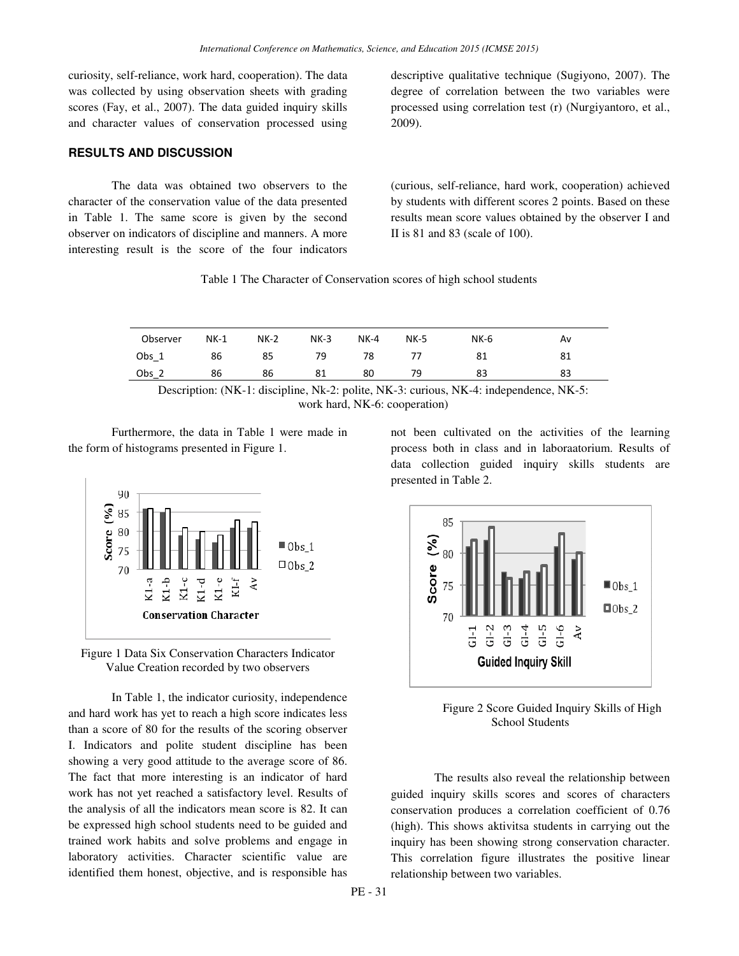curiosity, self-reliance, work hard, cooperation). The data was collected by using observation sheets with grading scores (Fay, et al., 2007). The data guided inquiry skills and character values of conservation processed using

### **RESULTS AND DISCUSSION**

The data was obtained two observers to the character of the conservation value of the data presented in Table 1. The same score is given by the second observer on indicators of discipline and manners. A more interesting result is the score of the four indicators descriptive qualitative technique (Sugiyono, 2007). The degree of correlation between the two variables were processed using correlation test (r) (Nurgiyantoro, et al., 2009).

(curious, self-reliance, hard work, cooperation) achieved by students with different scores 2 points. Based on these results mean score values obtained by the observer I and II is 81 and 83 (scale of 100).

Table 1 The Character of Conservation scores of high school students

| Observer | $NK-1$ | $NK-2$ | $NK-3$ | $NK-4$ | <b>NK-5</b> | $NK-6$ | A٧ |
|----------|--------|--------|--------|--------|-------------|--------|----|
| Obs 1    | 86     | 85     | 79     | 78     |             | 81     | 81 |
| $Obs_$   | 86     | 86     | 81     | 80     |             | 83     | 83 |

Description: (NK-1: discipline, Nk-2: polite, NK-3: curious, NK-4: independence, NK-5: work hard, NK-6: cooperation)

Furthermore, the data in Table 1 were made in the form of histograms presented in Figure 1.





In Table 1, the indicator curiosity, independence and hard work has yet to reach a high score indicates less than a score of 80 for the results of the scoring observer I. Indicators and polite student discipline has been showing a very good attitude to the average score of 86. The fact that more interesting is an indicator of hard work has not yet reached a satisfactory level. Results of the analysis of all the indicators mean score is 82. It can be expressed high school students need to be guided and trained work habits and solve problems and engage in laboratory activities. Character scientific value are identified them honest, objective, and is responsible has

not been cultivated on the activities of the learning process both in class and in laboraatorium. Results of data collection guided inquiry skills students are presented in Table 2.



Figure 2 Score Guided Inquiry Skills of High School Students

The results also reveal the relationship between guided inquiry skills scores and scores of characters conservation produces a correlation coefficient of 0.76 (high). This shows aktivitsa students in carrying out the inquiry has been showing strong conservation character. This correlation figure illustrates the positive linear relationship between two variables.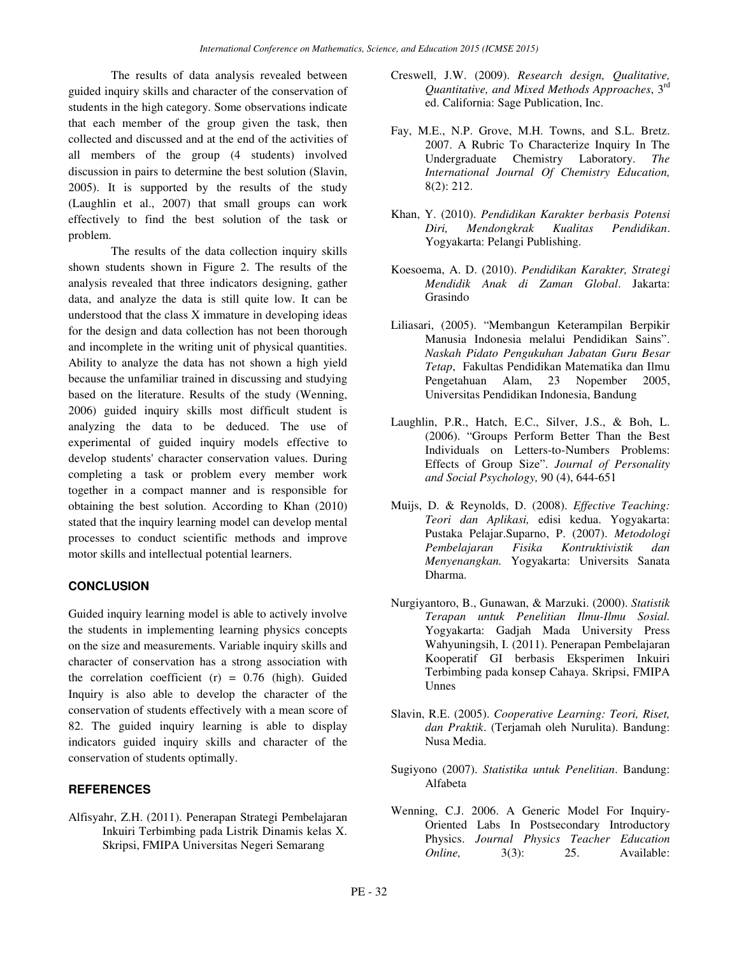The results of data analysis revealed between guided inquiry skills and character of the conservation of students in the high category. Some observations indicate that each member of the group given the task, then collected and discussed and at the end of the activities of all members of the group (4 students) involved discussion in pairs to determine the best solution (Slavin, 2005). It is supported by the results of the study (Laughlin et al., 2007) that small groups can work effectively to find the best solution of the task or problem.

The results of the data collection inquiry skills shown students shown in Figure 2. The results of the analysis revealed that three indicators designing, gather data, and analyze the data is still quite low. It can be understood that the class X immature in developing ideas for the design and data collection has not been thorough and incomplete in the writing unit of physical quantities. Ability to analyze the data has not shown a high yield because the unfamiliar trained in discussing and studying based on the literature. Results of the study (Wenning, 2006) guided inquiry skills most difficult student is analyzing the data to be deduced. The use of experimental of guided inquiry models effective to develop students' character conservation values. During completing a task or problem every member work together in a compact manner and is responsible for obtaining the best solution. According to Khan (2010) stated that the inquiry learning model can develop mental processes to conduct scientific methods and improve motor skills and intellectual potential learners.

# **CONCLUSION**

Guided inquiry learning model is able to actively involve the students in implementing learning physics concepts on the size and measurements. Variable inquiry skills and character of conservation has a strong association with the correlation coefficient  $(r) = 0.76$  (high). Guided Inquiry is also able to develop the character of the conservation of students effectively with a mean score of 82. The guided inquiry learning is able to display indicators guided inquiry skills and character of the conservation of students optimally.

# **REFERENCES**

Alfisyahr, Z.H. (2011). Penerapan Strategi Pembelajaran Inkuiri Terbimbing pada Listrik Dinamis kelas X. Skripsi, FMIPA Universitas Negeri Semarang

- Creswell, J.W. (2009). *Research design, Qualitative, Quantitative, and Mixed Methods Approaches*, 3rd ed. California: Sage Publication, Inc.
- Fay, M.E., N.P. Grove, M.H. Towns, and S.L. Bretz. 2007. A Rubric To Characterize Inquiry In The Undergraduate Chemistry Laboratory. *The International Journal Of Chemistry Education,* 8(2): 212.
- Khan, Y. (2010). *Pendidikan Karakter berbasis Potensi Diri, Mendongkrak Kualitas Pendidikan*. Yogyakarta: Pelangi Publishing.
- Koesoema, A. D. (2010). *Pendidikan Karakter, Strategi Mendidik Anak di Zaman Global*. Jakarta: Grasindo
- Liliasari, (2005). "Membangun Keterampilan Berpikir Manusia Indonesia melalui Pendidikan Sains". *Naskah Pidato Pengukuhan Jabatan Guru Besar Tetap*, Fakultas Pendidikan Matematika dan Ilmu Pengetahuan Alam, 23 Nopember 2005, Universitas Pendidikan Indonesia, Bandung
- Laughlin, P.R., Hatch, E.C., Silver, J.S., & Boh, L. (2006). "Groups Perform Better Than the Best Individuals on Letters-to-Numbers Problems: Effects of Group Size". *Journal of Personality and Social Psychology,* 90 (4), 644-651
- Muijs, D. & Reynolds, D. (2008). *Effective Teaching: Teori dan Aplikasi,* edisi kedua. Yogyakarta: Pustaka Pelajar.Suparno, P. (2007). *Metodologi Pembelajaran Fisika Kontruktivistik dan Menyenangkan.* Yogyakarta: Universits Sanata Dharma.
- Nurgiyantoro, B., Gunawan, & Marzuki. (2000). *Statistik Terapan untuk Penelitian Ilmu-Ilmu Sosial.* Yogyakarta: Gadjah Mada University Press Wahyuningsih, I. (2011). Penerapan Pembelajaran Kooperatif GI berbasis Eksperimen Inkuiri Terbimbing pada konsep Cahaya. Skripsi, FMIPA Unnes
- Slavin, R.E. (2005). *Cooperative Learning: Teori, Riset, dan Praktik*. (Terjamah oleh Nurulita). Bandung: Nusa Media.
- Sugiyono (2007). *Statistika untuk Penelitian*. Bandung: Alfabeta
- Wenning, C.J. 2006. A Generic Model For Inquiry-Oriented Labs In Postsecondary Introductory Physics. *Journal Physics Teacher Education Online*, 3(3): 25. Available: